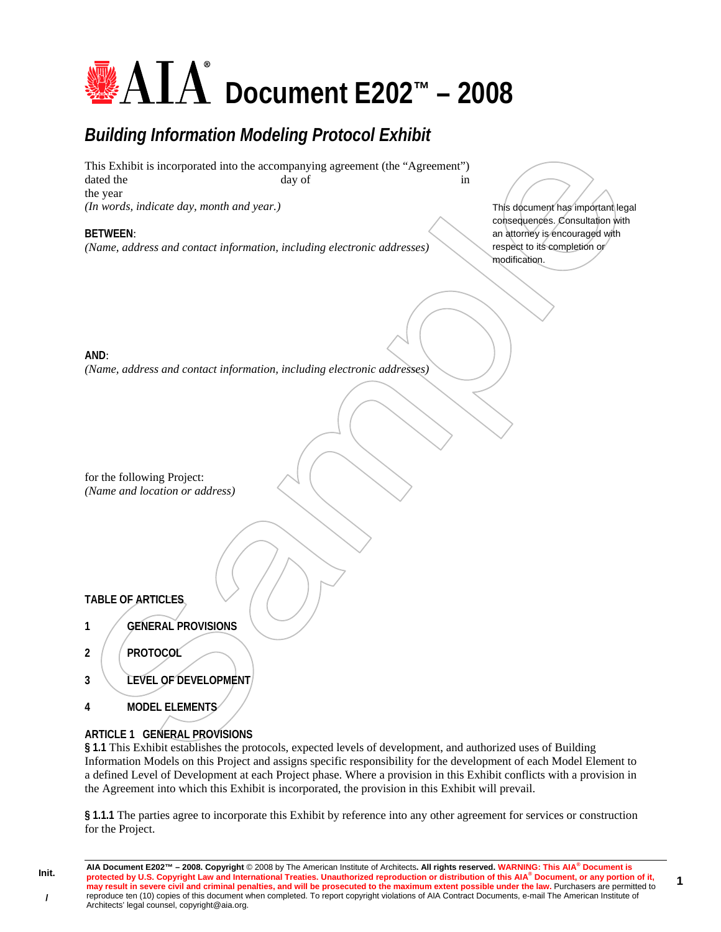# **<u>AIA</u>** Document E202™ – 2008

# *Building Information Modeling Protocol Exhibit*

This Exhibit is incorporated into the accompanying agreement (the "Agreement") dated the day of in the year *(In words, indicate day, month and year.)* 

# **BETWEEN**:

*(Name, address and contact information, including electronic addresses)* 

This document has important legal consequences. Consultation with an attorney is encouraged with respect to its completion or modification.

**1**

# **AND**:

*(Name, address and contact information, including electronic addresses)* 

for the following Project: *(Name and location or address)* 

# **TABLE OF ARTICLES**

- **1 GENERAL PROVISIONS**
- **2 PROTOCOL**
- **3 LEVEL OF DEVELOPMENT**
- **4 MODEL ELEMENTS**

# **ARTICLE 1 GENERAL PROVISIONS**

**§ 1.1** This Exhibit establishes the protocols, expected levels of development, and authorized uses of Building Information Models on this Project and assigns specific responsibility for the development of each Model Element to a defined Level of Development at each Project phase. Where a provision in this Exhibit conflicts with a provision in the Agreement into which this Exhibit is incorporated, the provision in this Exhibit will prevail.

**§ 1.1.1** The parties agree to incorporate this Exhibit by reference into any other agreement for services or construction for the Project.

**AIA Document E202™ – 2008. Copyright** © 2008 by The American Institute of Architects**. All rights reserved. WARNING: This AIA® Document is protected by U.S. Copyright Law and International Treaties. Unauthorized reproduction or distribution of this AIA® Document, or any portion of it, may result in severe civil and criminal penalties, and will be prosecuted to the maximum extent possible under the law.** Purchasers are permitted to reproduce ten (10) copies of this document when completed. To report copyright violations of AIA Contract Documents, e-mail The American Institute of Architects' legal counsel, copyright@aia.org.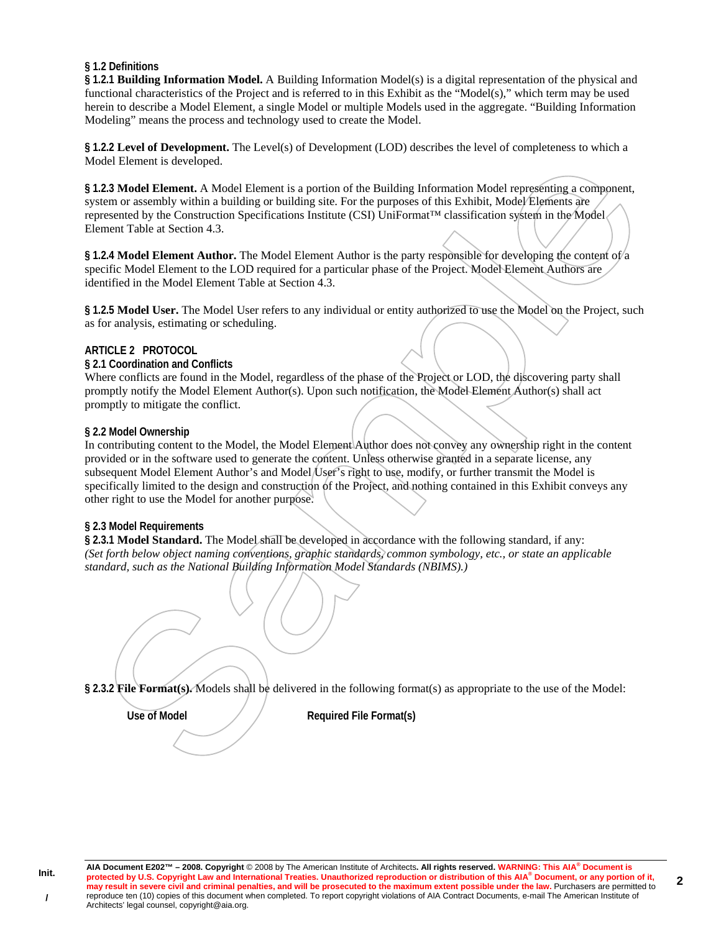# **§ 1.2 Definitions**

**§ 1.2.1 Building Information Model.** A Building Information Model(s) is a digital representation of the physical and functional characteristics of the Project and is referred to in this Exhibit as the "Model(s)," which term may be used herein to describe a Model Element, a single Model or multiple Models used in the aggregate. "Building Information Modeling" means the process and technology used to create the Model.

**§ 1.2.2 Level of Development.** The Level(s) of Development (LOD) describes the level of completeness to which a Model Element is developed.

**§ 1.2.3 Model Element.** A Model Element is a portion of the Building Information Model representing a component, system or assembly within a building or building site. For the purposes of this Exhibit, Model Elements are represented by the Construction Specifications Institute (CSI) UniFormat™ classification system in the Model Element Table at Section 4.3.

§ 1.2.4 Model Element Author. The Model Element Author is the party responsible for developing the content of a specific Model Element to the LOD required for a particular phase of the Project. Model Element Authors are identified in the Model Element Table at Section 4.3.

**§ 1.2.5 Model User.** The Model User refers to any individual or entity authorized to use the Model on the Project, such as for analysis, estimating or scheduling.

# **ARTICLE 2 PROTOCOL**

**§ 2.1 Coordination and Conflicts** 

Where conflicts are found in the Model, regardless of the phase of the Project or LOD, the discovering party shall promptly notify the Model Element Author(s). Upon such notification, the Model Element Author(s) shall act promptly to mitigate the conflict.

# **§ 2.2 Model Ownership**

In contributing content to the Model, the Model Element Author does not convey any ownership right in the content provided or in the software used to generate the content. Unless otherwise granted in a separate license, any subsequent Model Element Author's and Model User's right to use, modify, or further transmit the Model is specifically limited to the design and construction of the Project, and nothing contained in this Exhibit conveys any other right to use the Model for another purpose.

# **§ 2.3 Model Requirements**

**§ 2.3.1 Model Standard.** The Model shall be developed in accordance with the following standard, if any: *(Set forth below object naming conventions, graphic standards, common symbology, etc., or state an applicable standard, such as the National Building Information Model Standards (NBIMS).)* 

**§ 2.3.2 File Format(s).** Models shall be delivered in the following format(s) as appropriate to the use of the Model:

Use of Model **Required File Format(s)**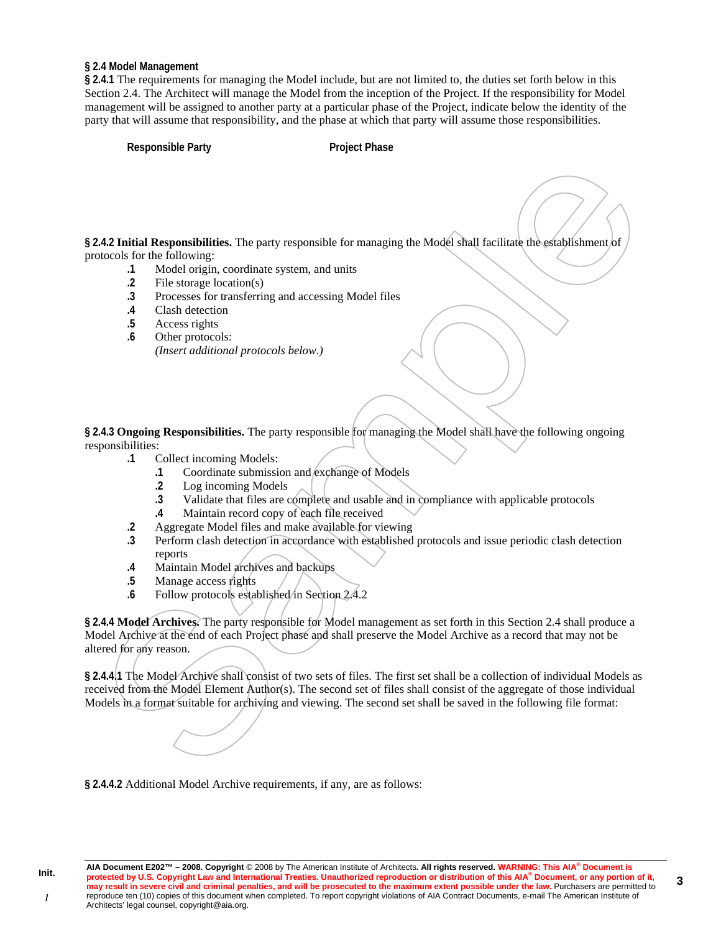#### **§ 2.4 Model Management**

**§ 2.4.1** The requirements for managing the Model include, but are not limited to, the duties set forth below in this Section 2.4. The Architect will manage the Model from the inception of the Project. If the responsibility for Model management will be assigned to another party at a particular phase of the Project, indicate below the identity of the party that will assume that responsibility, and the phase at which that party will assume those responsibilities.

**Responsible Party Project Phase** 

**§ 2.4.2 Initial Responsibilities.** The party responsible for managing the Model shall facilitate the establishment of protocols for the following:

- **.1** Model origin, coordinate system, and units
- **.2** File storage location(s)
- **.3** Processes for transferring and accessing Model files
- **.4** Clash detection
- **.5** Access rights
- **.6** Other protocols: *(Insert additional protocols below.)*

**§ 2.4.3 Ongoing Responsibilities.** The party responsible for managing the Model shall have the following ongoing responsibilities:

- **.1** Collect incoming Models:
	- **.1** Coordinate submission and exchange of Models
	- **.2** Log incoming Models
	- **.3** Validate that files are complete and usable and in compliance with applicable protocols
	- **.4** Maintain record copy of each file received
- **.2** Aggregate Model files and make available for viewing
- **.3** Perform clash detection in accordance with established protocols and issue periodic clash detection reports
- **.4** Maintain Model archives and backups
- **.5** Manage access rights
- .6 Follow protocols established in Section 2.4.2

**§ 2.4.4 Model Archives.** The party responsible for Model management as set forth in this Section 2.4 shall produce a Model Archive at the end of each Project phase and shall preserve the Model Archive as a record that may not be altered for any reason.

**§ 2.4.4.1** The Model Archive shall consist of two sets of files. The first set shall be a collection of individual Models as received from the Model Element Author(s). The second set of files shall consist of the aggregate of those individual Models in a format suitable for archiving and viewing. The second set shall be saved in the following file format:

**§ 2.4.4.2** Additional Model Archive requirements, if any, are as follows: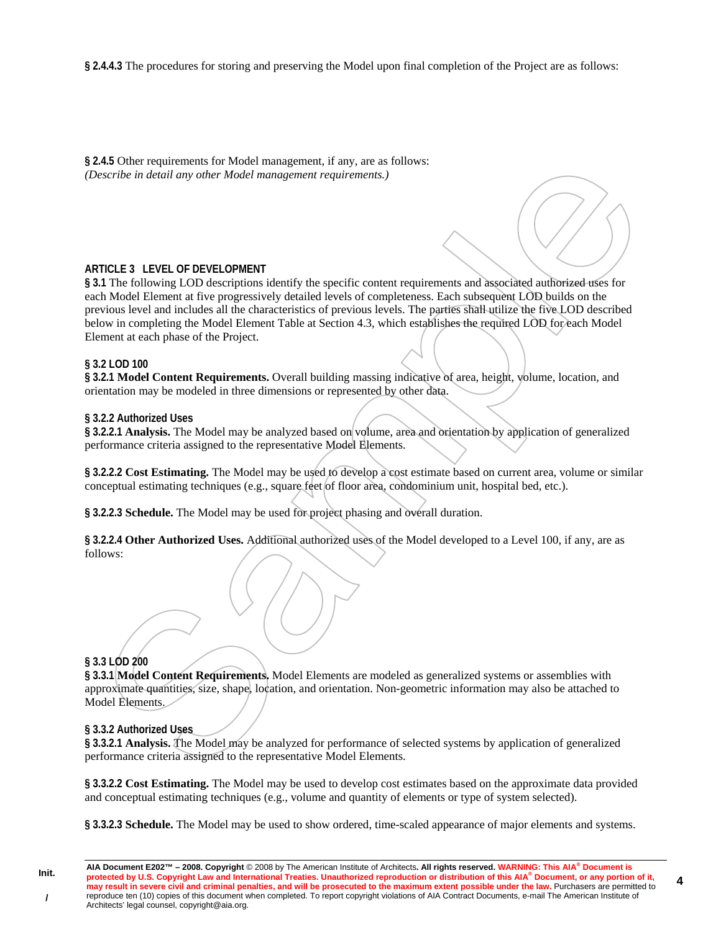**§ 2.4.4.3** The procedures for storing and preserving the Model upon final completion of the Project are as follows:

**§ 2.4.5** Other requirements for Model management, if any, are as follows: *(Describe in detail any other Model management requirements.)* 

#### **ARTICLE 3 LEVEL OF DEVELOPMENT**

**§ 3.1** The following LOD descriptions identify the specific content requirements and associated authorized uses for each Model Element at five progressively detailed levels of completeness. Each subsequent LOD builds on the previous level and includes all the characteristics of previous levels. The parties shall utilize the five LOD described below in completing the Model Element Table at Section 4.3, which establishes the required LOD for each Model Element at each phase of the Project.

#### **§ 3.2 LOD 100**

**§ 3.2.1 Model Content Requirements.** Overall building massing indicative of area, height, volume, location, and orientation may be modeled in three dimensions or represented by other data.

#### **§ 3.2.2 Authorized Uses**

**§ 3.2.2.1 Analysis.** The Model may be analyzed based on volume, area and orientation by application of generalized performance criteria assigned to the representative Model Elements.

**§ 3.2.2.2 Cost Estimating.** The Model may be used to develop a cost estimate based on current area, volume or similar conceptual estimating techniques (e.g., square feet of floor area, condominium unit, hospital bed, etc.).

**§ 3.2.2.3 Schedule.** The Model may be used for project phasing and overall duration.

**§ 3.2.2.4 Other Authorized Uses.** Additional authorized uses of the Model developed to a Level 100, if any, are as follows:

# **§ 3.3 LOD 200**

**§ 3.3.1 Model Content Requirements.** Model Elements are modeled as generalized systems or assemblies with approximate quantities, size, shape, location, and orientation. Non-geometric information may also be attached to Model Elements.

#### **§ 3.3.2 Authorized Uses**

**§ 3.3.2.1 Analysis.** The Model may be analyzed for performance of selected systems by application of generalized performance criteria assigned to the representative Model Elements.

**§ 3.3.2.2 Cost Estimating.** The Model may be used to develop cost estimates based on the approximate data provided and conceptual estimating techniques (e.g., volume and quantity of elements or type of system selected).

**§ 3.3.2.3 Schedule.** The Model may be used to show ordered, time-scaled appearance of major elements and systems.

**4**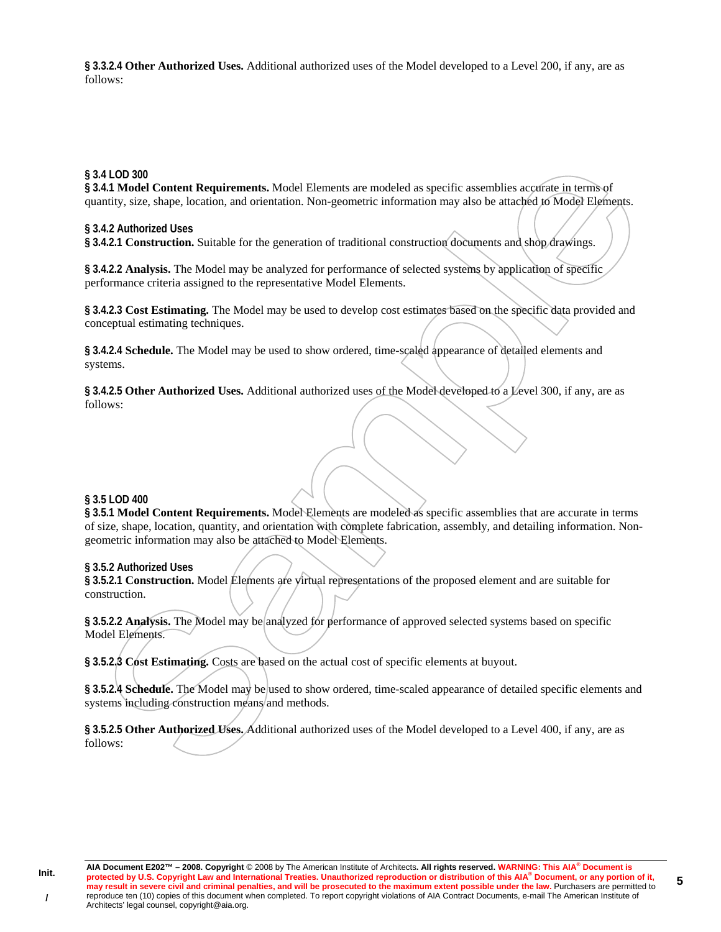**§ 3.3.2.4 Other Authorized Uses.** Additional authorized uses of the Model developed to a Level 200, if any, are as follows:

#### **§ 3.4 LOD 300**

**§ 3.4.1 Model Content Requirements.** Model Elements are modeled as specific assemblies accurate in terms of quantity, size, shape, location, and orientation. Non-geometric information may also be attached to Model Elements.

#### **§ 3.4.2 Authorized Uses**

**§ 3.4.2.1 Construction.** Suitable for the generation of traditional construction documents and shop drawings.

**§ 3.4.2.2 Analysis.** The Model may be analyzed for performance of selected systems by application of specific performance criteria assigned to the representative Model Elements.

**§ 3.4.2.3 Cost Estimating.** The Model may be used to develop cost estimates based on the specific data provided and conceptual estimating techniques.

**§ 3.4.2.4 Schedule.** The Model may be used to show ordered, time-scaled appearance of detailed elements and systems.

**§ 3.4.2.5 Other Authorized Uses.** Additional authorized uses of the Model developed to a Level 300, if any, are as follows:

#### **§ 3.5 LOD 400**

**§ 3.5.1 Model Content Requirements.** Model Elements are modeled as specific assemblies that are accurate in terms of size, shape, location, quantity, and orientation with complete fabrication, assembly, and detailing information. Nongeometric information may also be attached to Model Elements.

# **§ 3.5.2 Authorized Uses**

**§ 3.5.2.1 Construction.** Model Elements are virtual representations of the proposed element and are suitable for construction.

**§ 3.5.2.2 Analysis.** The Model may be analyzed for performance of approved selected systems based on specific Model Elements.

**§ 3.5.2.3 Cost Estimating.** Costs are based on the actual cost of specific elements at buyout.

**§ 3.5.2.4 Schedule.** The Model may be used to show ordered, time-scaled appearance of detailed specific elements and systems including construction means and methods.

**§ 3.5.2.5 Other Authorized Uses.** Additional authorized uses of the Model developed to a Level 400, if any, are as follows: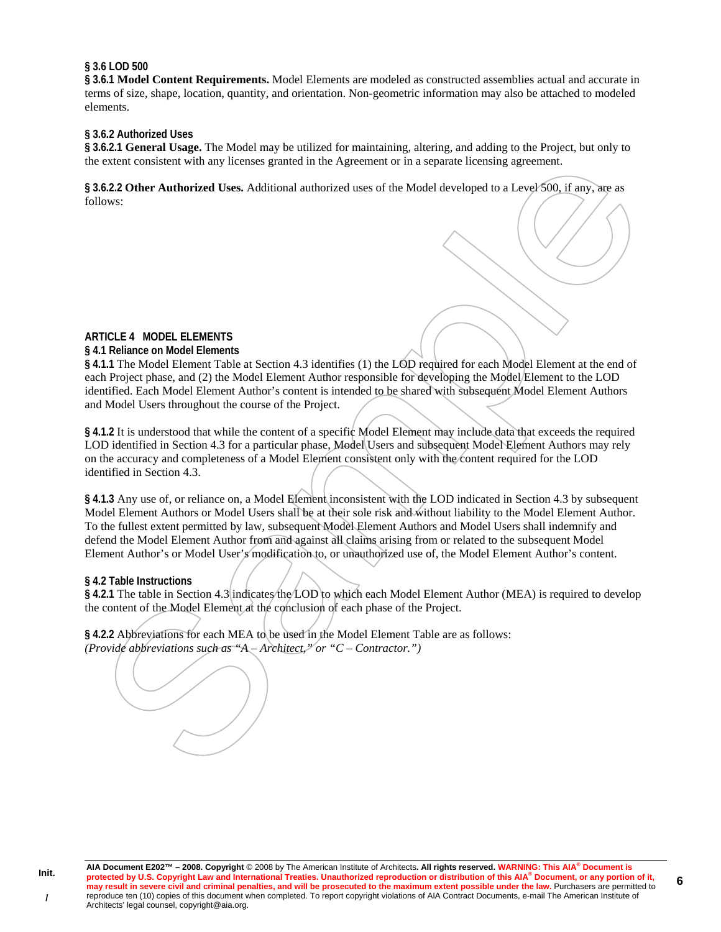#### **§ 3.6 LOD 500**

**§ 3.6.1 Model Content Requirements.** Model Elements are modeled as constructed assemblies actual and accurate in terms of size, shape, location, quantity, and orientation. Non-geometric information may also be attached to modeled elements.

#### **§ 3.6.2 Authorized Uses**

**§ 3.6.2.1 General Usage.** The Model may be utilized for maintaining, altering, and adding to the Project, but only to the extent consistent with any licenses granted in the Agreement or in a separate licensing agreement.

**§ 3.6.2.2 Other Authorized Uses.** Additional authorized uses of the Model developed to a Level 500, if any, are as follows:

# **ARTICLE 4 MODEL ELEMENTS**

#### **§ 4.1 Reliance on Model Elements**

**§ 4.1.1** The Model Element Table at Section 4.3 identifies (1) the LOD required for each Model Element at the end of each Project phase, and (2) the Model Element Author responsible for developing the Model Element to the LOD identified. Each Model Element Author's content is intended to be shared with subsequent Model Element Authors and Model Users throughout the course of the Project.

§ 4.1.2 It is understood that while the content of a specific Model Element may include data that exceeds the required LOD identified in Section 4.3 for a particular phase, Model Users and subsequent Model Element Authors may rely on the accuracy and completeness of a Model Element consistent only with the content required for the LOD identified in Section 4.3.

**§ 4.1.3** Any use of, or reliance on, a Model Element inconsistent with the LOD indicated in Section 4.3 by subsequent Model Element Authors or Model Users shall be at their sole risk and without liability to the Model Element Author. To the fullest extent permitted by law, subsequent Model Element Authors and Model Users shall indemnify and defend the Model Element Author from and against all claims arising from or related to the subsequent Model Element Author's or Model User's modification to, or unauthorized use of, the Model Element Author's content.

#### **§ 4.2 Table Instructions**

**§ 4.2.1** The table in Section 4.3 indicates the LOD to which each Model Element Author (MEA) is required to develop the content of the Model Element at the conclusion of each phase of the Project.

**§ 4.2.2** Abbreviations for each MEA to be used in the Model Element Table are as follows: *(Provide abbreviations such as "A – Architect," or "C – Contractor.")* 

**6**

**Init. /**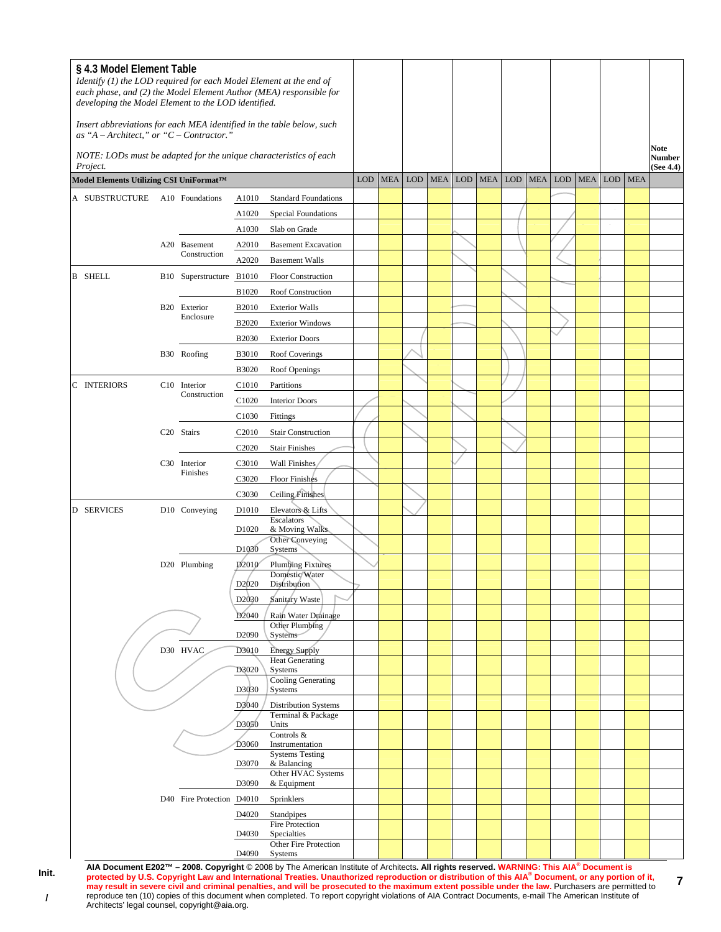| § 4.3 Model Element Table<br>Identify (1) the LOD required for each Model Element at the end of<br>each phase, and (2) the Model Element Author (MEA) responsible for<br>developing the Model Element to the LOD identified. |  |                           |                   |                                                |  |            |         |            |            |            |            |            |            |            |            |                     |
|------------------------------------------------------------------------------------------------------------------------------------------------------------------------------------------------------------------------------|--|---------------------------|-------------------|------------------------------------------------|--|------------|---------|------------|------------|------------|------------|------------|------------|------------|------------|---------------------|
| Insert abbreviations for each MEA identified in the table below, such<br>as "A - Architect," or " $C$ - Contractor."                                                                                                         |  |                           |                   |                                                |  |            |         |            |            |            |            |            |            |            |            | <b>Note</b>         |
| NOTE: LODs must be adapted for the unique characteristics of each<br>Project.                                                                                                                                                |  |                           |                   |                                                |  |            |         |            |            |            |            |            |            |            |            | Number<br>(See 4.4) |
| Model Elements Utilizing CSI UniFormat™                                                                                                                                                                                      |  |                           |                   |                                                |  | <b>MEA</b> | LOD MEA | <b>LOD</b> | <b>MEA</b> | <b>LOD</b> | <b>MEA</b> | <b>LOD</b> | <b>MEA</b> | <b>LOD</b> | <b>MEA</b> |                     |
| A SUBSTRUCTURE A10 Foundations                                                                                                                                                                                               |  |                           | A1010             | <b>Standard Foundations</b>                    |  |            |         |            |            |            |            |            |            |            |            |                     |
|                                                                                                                                                                                                                              |  |                           | A1020             | Special Foundations                            |  |            |         |            |            |            |            |            |            |            |            |                     |
|                                                                                                                                                                                                                              |  |                           | A1030             | Slab on Grade                                  |  |            |         |            |            |            |            |            |            |            |            |                     |
|                                                                                                                                                                                                                              |  | A20 Basement              | A2010             | <b>Basement Excavation</b>                     |  |            |         |            |            |            |            |            |            |            |            |                     |
|                                                                                                                                                                                                                              |  | Construction              | A2020             | <b>Basement Walls</b>                          |  |            |         |            |            |            |            |            |            |            |            |                     |
| <b>B</b> SHELL                                                                                                                                                                                                               |  | B10 Superstructure B1010  |                   | <b>Floor Construction</b>                      |  |            |         |            |            |            |            |            |            |            |            |                     |
|                                                                                                                                                                                                                              |  |                           | B1020             | Roof Construction                              |  |            |         |            |            |            |            |            |            |            |            |                     |
|                                                                                                                                                                                                                              |  | B20 Exterior              | <b>B2010</b>      | <b>Exterior Walls</b>                          |  |            |         |            |            |            |            |            |            |            |            |                     |
|                                                                                                                                                                                                                              |  | Enclosure                 | <b>B2020</b>      | <b>Exterior Windows</b>                        |  |            |         |            |            |            |            |            |            |            |            |                     |
|                                                                                                                                                                                                                              |  |                           | <b>B2030</b>      | <b>Exterior Doors</b>                          |  |            |         |            |            |            |            |            |            |            |            |                     |
|                                                                                                                                                                                                                              |  | B30 Roofing               | <b>B3010</b>      | Roof Coverings                                 |  |            |         |            |            |            |            |            |            |            |            |                     |
|                                                                                                                                                                                                                              |  |                           | B3020             | Roof Openings                                  |  |            |         |            |            |            |            |            |            |            |            |                     |
| C INTERIORS                                                                                                                                                                                                                  |  | C <sub>10</sub> Interior  | C <sub>1010</sub> | Partitions                                     |  |            |         |            |            |            |            |            |            |            |            |                     |
|                                                                                                                                                                                                                              |  | Construction              | C1020             | <b>Interior Doors</b>                          |  |            |         |            |            |            |            |            |            |            |            |                     |
|                                                                                                                                                                                                                              |  |                           | C1030             | Fittings                                       |  |            |         |            |            |            |            |            |            |            |            |                     |
|                                                                                                                                                                                                                              |  | C20 Stairs                | C <sub>2010</sub> | <b>Stair Construction</b>                      |  |            |         |            |            |            |            |            |            |            |            |                     |
|                                                                                                                                                                                                                              |  |                           | C <sub>2020</sub> | <b>Stair Finishes</b>                          |  |            |         |            |            |            |            |            |            |            |            |                     |
|                                                                                                                                                                                                                              |  | C30 Interior              | C3010             | Wall Finishes                                  |  |            |         |            |            |            |            |            |            |            |            |                     |
|                                                                                                                                                                                                                              |  | Finishes                  | C3020             | Floor Finishes                                 |  |            |         |            |            |            |            |            |            |            |            |                     |
|                                                                                                                                                                                                                              |  |                           | C3030             | Ceiling Finishes                               |  |            |         |            |            |            |            |            |            |            |            |                     |
| D SERVICES                                                                                                                                                                                                                   |  | D10 Conveying             | D <sub>1010</sub> | Elevators & Lifts                              |  |            |         |            |            |            |            |            |            |            |            |                     |
|                                                                                                                                                                                                                              |  |                           | D <sub>1020</sub> | Escalators<br>& Moving Walks                   |  |            |         |            |            |            |            |            |            |            |            |                     |
|                                                                                                                                                                                                                              |  |                           | D1030             | Other Conveying<br>Systems                     |  |            |         |            |            |            |            |            |            |            |            |                     |
|                                                                                                                                                                                                                              |  | D20 Plumbing              | D <sub>2010</sub> | <b>Plumbing Fixtures</b>                       |  |            |         |            |            |            |            |            |            |            |            |                     |
|                                                                                                                                                                                                                              |  |                           |                   | Domestic/Water                                 |  |            |         |            |            |            |            |            |            |            |            |                     |
|                                                                                                                                                                                                                              |  |                           | D <sub>2020</sub> | Distribution                                   |  |            |         |            |            |            |            |            |            |            |            |                     |
|                                                                                                                                                                                                                              |  |                           | D <sub>2030</sub> | Sanitary Waste                                 |  |            |         |            |            |            |            |            |            |            |            |                     |
|                                                                                                                                                                                                                              |  |                           | D <sub>2040</sub> | Rain Water Drainage<br>Other Plumbing          |  |            |         |            |            |            |            |            |            |            |            |                     |
|                                                                                                                                                                                                                              |  |                           | D <sub>2090</sub> | Systems                                        |  |            |         |            |            |            |            |            |            |            |            |                     |
|                                                                                                                                                                                                                              |  | D30 HVAC                  | D3010             | <b>Energy Supply</b><br><b>Heat Generating</b> |  |            |         |            |            |            |            |            |            |            |            |                     |
|                                                                                                                                                                                                                              |  |                           | D3020             | Systems                                        |  |            |         |            |            |            |            |            |            |            |            |                     |
|                                                                                                                                                                                                                              |  |                           | D3030             | Cooling Generating<br>Systems                  |  |            |         |            |            |            |            |            |            |            |            |                     |
|                                                                                                                                                                                                                              |  |                           | D3040             | <b>Distribution Systems</b>                    |  |            |         |            |            |            |            |            |            |            |            |                     |
|                                                                                                                                                                                                                              |  |                           | D3050             | Terminal & Package<br>Units                    |  |            |         |            |            |            |            |            |            |            |            |                     |
|                                                                                                                                                                                                                              |  |                           |                   | Controls &                                     |  |            |         |            |            |            |            |            |            |            |            |                     |
|                                                                                                                                                                                                                              |  |                           | D3060             | Instrumentation<br><b>Systems Testing</b>      |  |            |         |            |            |            |            |            |            |            |            |                     |
|                                                                                                                                                                                                                              |  |                           | D3070             | & Balancing                                    |  |            |         |            |            |            |            |            |            |            |            |                     |
|                                                                                                                                                                                                                              |  |                           | D3090             | Other HVAC Systems<br>& Equipment              |  |            |         |            |            |            |            |            |            |            |            |                     |
|                                                                                                                                                                                                                              |  | D40 Fire Protection D4010 |                   | Sprinklers                                     |  |            |         |            |            |            |            |            |            |            |            |                     |
|                                                                                                                                                                                                                              |  |                           | D4020             | Standpipes                                     |  |            |         |            |            |            |            |            |            |            |            |                     |
|                                                                                                                                                                                                                              |  |                           | D <sub>4030</sub> | Fire Protection<br>Specialties                 |  |            |         |            |            |            |            |            |            |            |            |                     |
|                                                                                                                                                                                                                              |  |                           |                   | Other Fire Protection                          |  |            |         |            |            |            |            |            |            |            |            |                     |
|                                                                                                                                                                                                                              |  |                           | D4090             | Systems                                        |  |            |         |            |            |            |            |            |            |            |            |                     |

AIA Document E202™ – 2008. Copyright © 2008 by The American Institute of Architects. All rights reserved. WARNING: This AIA<sup>®</sup> Document is<br>protected by U.S. Copyright Law and International Treaties. Unauthorized reproduct **may result in severe civil and criminal penalties, and will be prosecuted to the maximum extent possible under the law.** Purchasers are permitted to reproduce ten (10) copies of this document when completed. To report copyright violations of AIA Contract Documents, e-mail The American Institute of Architects' legal counsel, copyright@aia.org.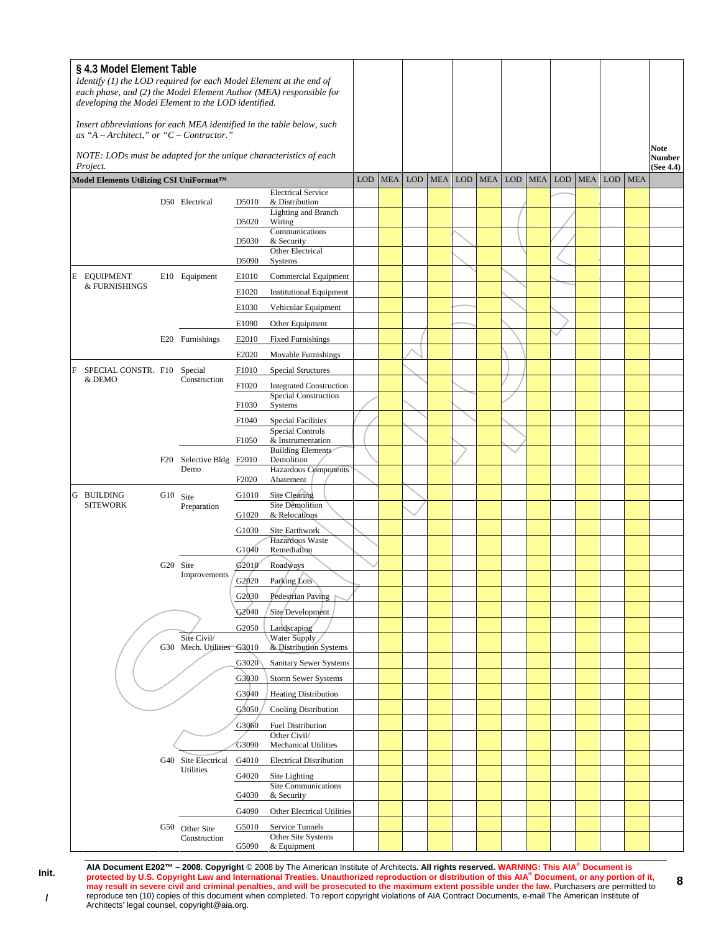| § 4.3 Model Element Table<br>Identify (1) the LOD required for each Model Element at the end of<br>each phase, and (2) the Model Element Author (MEA) responsible for<br>developing the Model Element to the LOD identified.<br>Insert abbreviations for each MEA identified in the table below, such |                                                                                                                              |          |                                |                                      |                                               |            |            |            |            |            |            |            |            |            |            |     |            |                             |
|-------------------------------------------------------------------------------------------------------------------------------------------------------------------------------------------------------------------------------------------------------------------------------------------------------|------------------------------------------------------------------------------------------------------------------------------|----------|--------------------------------|--------------------------------------|-----------------------------------------------|------------|------------|------------|------------|------------|------------|------------|------------|------------|------------|-----|------------|-----------------------------|
|                                                                                                                                                                                                                                                                                                       | as "A - Architect," or " $C$ - Contractor."<br>NOTE: LODs must be adapted for the unique characteristics of each<br>Project. |          |                                |                                      |                                               |            |            |            |            |            |            |            |            |            |            |     |            | Note<br>Number<br>(See 4.4) |
|                                                                                                                                                                                                                                                                                                       | Model Elements Utilizing CSI UniFormat™                                                                                      |          |                                |                                      |                                               | <b>LOD</b> | <b>MEA</b> | <b>LOD</b> | <b>MEA</b> | <b>LOD</b> | <b>MEA</b> | <b>LOD</b> | <b>MEA</b> | <b>LOD</b> | <b>MEA</b> | LOD | <b>MEA</b> |                             |
|                                                                                                                                                                                                                                                                                                       |                                                                                                                              |          | D50 Electrical                 | D5010                                | <b>Electrical Service</b><br>& Distribution   |            |            |            |            |            |            |            |            |            |            |     |            |                             |
|                                                                                                                                                                                                                                                                                                       |                                                                                                                              |          | D <sub>5</sub> 0 <sub>20</sub> | <b>Lighting and Branch</b><br>Wiring |                                               |            |            |            |            |            |            |            |            |            |            |     |            |                             |
|                                                                                                                                                                                                                                                                                                       |                                                                                                                              |          |                                | D <sub>5030</sub>                    | Communications<br>& Security                  |            |            |            |            |            |            |            |            |            |            |     |            |                             |
|                                                                                                                                                                                                                                                                                                       |                                                                                                                              |          |                                |                                      | Other Electrical<br>Systems                   |            |            |            |            |            |            |            |            |            |            |     |            |                             |
|                                                                                                                                                                                                                                                                                                       | <b>E EQUIPMENT</b>                                                                                                           |          | E10 Equipment                  | D5090<br>E1010                       | Commercial Equipment                          |            |            |            |            |            |            |            |            |            |            |     |            |                             |
|                                                                                                                                                                                                                                                                                                       | & FURNISHINGS                                                                                                                |          |                                | E1020                                | <b>Institutional Equipment</b>                |            |            |            |            |            |            |            |            |            |            |     |            |                             |
|                                                                                                                                                                                                                                                                                                       |                                                                                                                              |          |                                | E1030                                | Vehicular Equipment                           |            |            |            |            |            |            |            |            |            |            |     |            |                             |
|                                                                                                                                                                                                                                                                                                       |                                                                                                                              |          |                                | E1090                                | Other Equipment                               |            |            |            |            |            |            |            |            |            |            |     |            |                             |
|                                                                                                                                                                                                                                                                                                       |                                                                                                                              |          | E20 Furnishings                | E2010                                | <b>Fixed Furnishings</b>                      |            |            |            |            |            |            |            |            |            |            |     |            |                             |
|                                                                                                                                                                                                                                                                                                       |                                                                                                                              |          |                                | E2020                                | Movable Furnishings                           |            |            |            |            |            |            |            |            |            |            |     |            |                             |
| F                                                                                                                                                                                                                                                                                                     | SPECIAL CONSTR. F10 Special                                                                                                  |          |                                | F1010                                | <b>Special Structures</b>                     |            |            |            |            |            |            |            |            |            |            |     |            |                             |
|                                                                                                                                                                                                                                                                                                       | & DEMO                                                                                                                       |          | Construction                   | F1020                                | <b>Integrated Construction</b>                |            |            |            |            |            |            |            |            |            |            |     |            |                             |
|                                                                                                                                                                                                                                                                                                       |                                                                                                                              |          |                                | F1030                                | <b>Special Construction</b><br>Systems        |            |            |            |            |            |            |            |            |            |            |     |            |                             |
|                                                                                                                                                                                                                                                                                                       |                                                                                                                              |          |                                | F1040                                | <b>Special Facilities</b>                     |            |            |            |            |            |            |            |            |            |            |     |            |                             |
|                                                                                                                                                                                                                                                                                                       |                                                                                                                              |          |                                | F1050                                | <b>Special Controls</b>                       |            |            |            |            |            |            |            |            |            |            |     |            |                             |
|                                                                                                                                                                                                                                                                                                       |                                                                                                                              |          |                                |                                      | & Instrumentation<br><b>Building Elements</b> |            |            |            |            |            |            |            |            |            |            |     |            |                             |
|                                                                                                                                                                                                                                                                                                       |                                                                                                                              | F20      | Selective Bldg F2010<br>Demo   |                                      | Demolition<br><b>Hazardous Components</b>     |            |            |            |            |            |            |            |            |            |            |     |            |                             |
|                                                                                                                                                                                                                                                                                                       |                                                                                                                              |          |                                | F2020                                | Abatement                                     |            |            |            |            |            |            |            |            |            |            |     |            |                             |
|                                                                                                                                                                                                                                                                                                       | <b>G BUILDING</b>                                                                                                            | G10 Site |                                | G1010                                | Site Clearing                                 |            |            |            |            |            |            |            |            |            |            |     |            |                             |
|                                                                                                                                                                                                                                                                                                       | <b>SITEWORK</b>                                                                                                              |          | Preparation                    | G1020                                | Site Demolition<br>& Relocations              |            |            |            |            |            |            |            |            |            |            |     |            |                             |
|                                                                                                                                                                                                                                                                                                       |                                                                                                                              |          | G20 Site<br>Improvements       | G1030                                | Site Earthwork                                |            |            |            |            |            |            |            |            |            |            |     |            |                             |
|                                                                                                                                                                                                                                                                                                       |                                                                                                                              |          |                                | G1040                                | Hazardous Waste<br>Remediation                |            |            |            |            |            |            |            |            |            |            |     |            |                             |
|                                                                                                                                                                                                                                                                                                       |                                                                                                                              |          |                                | G <sub>2010</sub>                    | Roadways                                      |            |            |            |            |            |            |            |            |            |            |     |            |                             |
|                                                                                                                                                                                                                                                                                                       |                                                                                                                              |          |                                | G2020                                | Parking Lots                                  |            |            |            |            |            |            |            |            |            |            |     |            |                             |
|                                                                                                                                                                                                                                                                                                       |                                                                                                                              |          |                                | G2030                                | Pedestrian Paving                             |            |            |            |            |            |            |            |            |            |            |     |            |                             |
|                                                                                                                                                                                                                                                                                                       |                                                                                                                              |          |                                | G2040                                | Site Development                              |            |            |            |            |            |            |            |            |            |            |     |            |                             |
|                                                                                                                                                                                                                                                                                                       |                                                                                                                              |          | Site Civil/                    | G2050                                | Landscaping                                   |            |            |            |            |            |            |            |            |            |            |     |            |                             |
|                                                                                                                                                                                                                                                                                                       |                                                                                                                              |          | G30 Mech. Utilities G3010      |                                      | Water Supply<br>& Distribution Systems        |            |            |            |            |            |            |            |            |            |            |     |            |                             |
|                                                                                                                                                                                                                                                                                                       |                                                                                                                              |          |                                | G3020                                | Sanitary Sewer Systems                        |            |            |            |            |            |            |            |            |            |            |     |            |                             |
|                                                                                                                                                                                                                                                                                                       |                                                                                                                              |          |                                | G3030                                | Storm Sewer Systems                           |            |            |            |            |            |            |            |            |            |            |     |            |                             |
|                                                                                                                                                                                                                                                                                                       |                                                                                                                              |          |                                | G3040                                | <b>Heating Distribution</b>                   |            |            |            |            |            |            |            |            |            |            |     |            |                             |
|                                                                                                                                                                                                                                                                                                       |                                                                                                                              |          |                                | G3050                                | <b>Cooling Distribution</b>                   |            |            |            |            |            |            |            |            |            |            |     |            |                             |
|                                                                                                                                                                                                                                                                                                       |                                                                                                                              |          |                                | G3060                                | <b>Fuel Distribution</b>                      |            |            |            |            |            |            |            |            |            |            |     |            |                             |
|                                                                                                                                                                                                                                                                                                       |                                                                                                                              |          |                                | G3090                                | Other Civil/<br><b>Mechanical Utilities</b>   |            |            |            |            |            |            |            |            |            |            |     |            |                             |
|                                                                                                                                                                                                                                                                                                       |                                                                                                                              |          | G40 Site Electrical            | G4010                                | <b>Electrical Distribution</b>                |            |            |            |            |            |            |            |            |            |            |     |            |                             |
|                                                                                                                                                                                                                                                                                                       |                                                                                                                              |          | Utilities                      | G4020                                | Site Lighting                                 |            |            |            |            |            |            |            |            |            |            |     |            |                             |
|                                                                                                                                                                                                                                                                                                       |                                                                                                                              |          |                                | G4030                                | Site Communications<br>& Security             |            |            |            |            |            |            |            |            |            |            |     |            |                             |
|                                                                                                                                                                                                                                                                                                       |                                                                                                                              |          |                                | G4090                                | Other Electrical Utilities                    |            |            |            |            |            |            |            |            |            |            |     |            |                             |
|                                                                                                                                                                                                                                                                                                       |                                                                                                                              |          | G50 Other Site                 | G5010                                | Service Tunnels                               |            |            |            |            |            |            |            |            |            |            |     |            |                             |
|                                                                                                                                                                                                                                                                                                       |                                                                                                                              |          | Construction                   | G5090                                | Other Site Systems<br>& Equipment             |            |            |            |            |            |            |            |            |            |            |     |            |                             |

AIA Document E202™ – 2008. Copyright © 2008 by The American Institute of Architects. All rights reserved. WARNING: This AIA<sup>®</sup> Document is<br>protected by U.S. Copyright Law and International Treaties. Unauthorized reproduct **may result in severe civil and criminal penalties, and will be prosecuted to the maximum extent possible under the law.** Purchasers are permitted to reproduce ten (10) copies of this document when completed. To report copyright violations of AIA Contract Documents, e-mail The American Institute of Architects' legal counsel, copyright@aia.org.

**8**